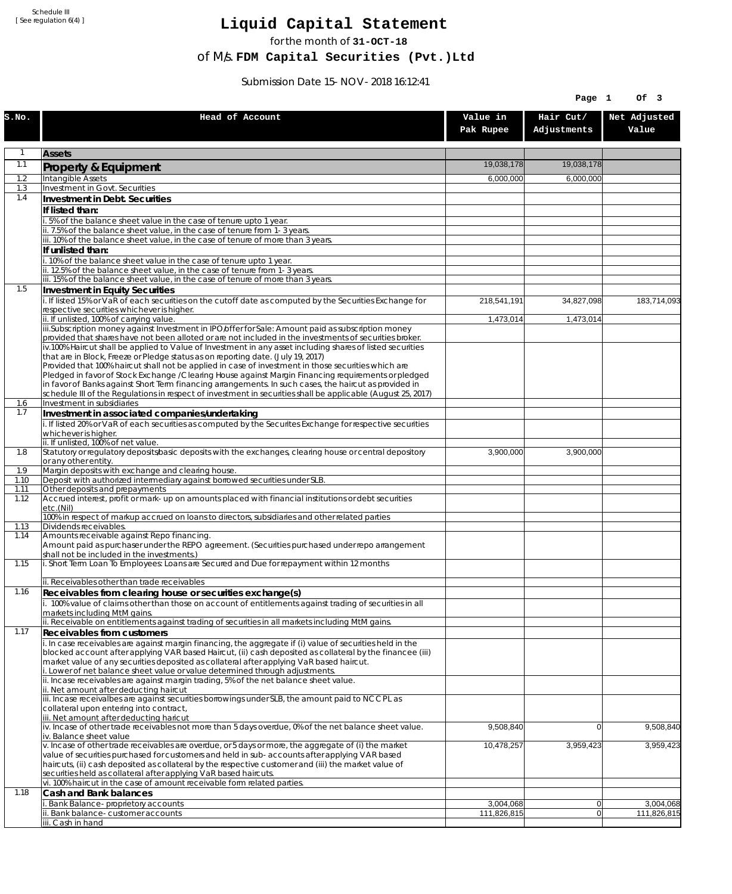Schedule III [ See regulation 6(4) ]

## **Liquid Capital Statement**

for the month of **31-OCT-18**

of M/s. **FDM Capital Securities (Pvt.)Ltd**

Submission Date 15-NOV-2018 16:12:41

|              |                                                                                                                                                                                                                        |                       | Page 1                   | Of 3                  |
|--------------|------------------------------------------------------------------------------------------------------------------------------------------------------------------------------------------------------------------------|-----------------------|--------------------------|-----------------------|
| S.NO.        | Head of Account                                                                                                                                                                                                        | Value in<br>Pak Rupee | Hair Cut/<br>Adjustments | Net Adjusted<br>Value |
| 1            | <b>Assets</b>                                                                                                                                                                                                          |                       |                          |                       |
| 1.1          | Property & Equipment                                                                                                                                                                                                   | 19,038,178            | 19,038,178               |                       |
| 1.2          | Intangible Assets                                                                                                                                                                                                      | 6,000,000             | 6,000,000                |                       |
| 1.3<br>1.4   | Investment in Govt. Securities<br>Investment in Debt. Securities                                                                                                                                                       |                       |                          |                       |
|              | If listed than:                                                                                                                                                                                                        |                       |                          |                       |
|              | .5% of the balance sheet value in the case of tenure upto 1 year.                                                                                                                                                      |                       |                          |                       |
|              | ii. 7.5% of the balance sheet value, in the case of tenure from 1-3 years.<br>iii. 10% of the balance sheet value, in the case of tenure of more than 3 years.                                                         |                       |                          |                       |
|              | If unlisted than:                                                                                                                                                                                                      |                       |                          |                       |
|              | . 10% of the balance sheet value in the case of tenure upto 1 year.                                                                                                                                                    |                       |                          |                       |
|              | ii. 12.5% of the balance sheet value, in the case of tenure from 1-3 years.<br>iii. 15% of the balance sheet value, in the case of tenure of more than 3 years.                                                        |                       |                          |                       |
| 1.5          | Investment in Equity Securities                                                                                                                                                                                        |                       |                          |                       |
|              | i. If listed 15% or VaR of each securities on the cutoff date as computed by the Securities Exchange for<br>respective securities whichever is higher.                                                                 | 218,541,191           | 34,827,098               | 183,714,093           |
|              | ii. If unlisted, 100% of carrying value.                                                                                                                                                                               | 1,473,014             | 1,473,014                |                       |
|              | iii.Subscription money against Investment in IPO/offer for Sale: Amount paid as subscription money                                                                                                                     |                       |                          |                       |
|              | provided that shares have not been alloted or are not included in the investments of securities broker.<br>iv.100% Haircut shall be applied to Value of Investment in any asset including shares of listed securities  |                       |                          |                       |
|              | that are in Block, Freeze or Pledge status as on reporting date. (July 19, 2017)                                                                                                                                       |                       |                          |                       |
|              | Provided that 100% haircut shall not be applied in case of investment in those securities which are<br>Pledged in favor of Stock Exchange / Clearing House against Margin Financing reguirements or pledged            |                       |                          |                       |
|              | in favor of Banks against Short Term financing arrangements. In such cases, the haircut as provided in                                                                                                                 |                       |                          |                       |
| 1.6          | schedule III of the Regulations in respect of investment in securities shall be applicable (August 25, 2017)<br>Investment in subsidiaries                                                                             |                       |                          |                       |
| 1.7          | Investment in associated companies/undertaking                                                                                                                                                                         |                       |                          |                       |
|              | i. If listed 20% or VaR of each securities as computed by the Securites Exchange for respective securities<br>whichever is higher.                                                                                     |                       |                          |                       |
|              | ii. If unlisted, 100% of net value.                                                                                                                                                                                    |                       |                          |                       |
| 1.8          | Statutory or regulatory deposits/basic deposits with the exchanges, clearing house or central depository<br>or any other entity.                                                                                       | 3,900,000             | 3,900,000                |                       |
| 1.9          | Margin deposits with exchange and clearing house.                                                                                                                                                                      |                       |                          |                       |
| 1.10         | Deposit with authorized intermediary against borrowed securities under SLB.                                                                                                                                            |                       |                          |                       |
| 1.11<br>1.12 | Other deposits and prepayments<br>Accrued interest, profit or mark-up on amounts placed with financial institutions or debt securities                                                                                 |                       |                          |                       |
|              | etc.(Nil)                                                                                                                                                                                                              |                       |                          |                       |
| 1.13         | 100% in respect of markup accrued on loans to directors, subsidiaries and other related parties<br>Dividends receivables.                                                                                              |                       |                          |                       |
| 1.14         | Amounts receivable against Repo financing.                                                                                                                                                                             |                       |                          |                       |
|              | Amount paid as purchaser under the REPO agreement. (Securities purchased under repo arrangement<br>shall not be included in the investments.)                                                                          |                       |                          |                       |
| 1.15         | i. Short Term Loan To Employees: Loans are Secured and Due for repayment within 12 months                                                                                                                              |                       |                          |                       |
|              | ii. Receivables other than trade receivables                                                                                                                                                                           |                       |                          |                       |
| 1.16         | Receivables from clearing house or securities exchange(s)                                                                                                                                                              |                       |                          |                       |
|              | i. 100% value of claims other than those on account of entitlements against trading of securities in all<br>markets including MtM gains.                                                                               |                       |                          |                       |
|              | ii. Receivable on entitlements against trading of securities in all markets including MtM gains.                                                                                                                       |                       |                          |                       |
| 1.17         | Receivables from customers                                                                                                                                                                                             |                       |                          |                       |
|              | i. In case receivables are against margin financing, the aggregate if (i) value of securities held in the<br>blocked account after applying VAR based Haircut, (ii) cash deposited as collateral by the financee (iii) |                       |                          |                       |
|              | market value of any securities deposited as collateral after applying VaR based haircut.                                                                                                                               |                       |                          |                       |
|              | i. Lower of net balance sheet value or value determined through adjustments.<br>ii. Incase receivables are against margin trading, 5% of the net balance sheet value.                                                  |                       |                          |                       |
|              | ii. Net amount after deducting haircut                                                                                                                                                                                 |                       |                          |                       |
|              | iii. Incase receivalbes are against securities borrowings under SLB, the amount paid to NCCPL as<br>collateral upon entering into contract,                                                                            |                       |                          |                       |
|              | iii. Net amount after deducting haricut                                                                                                                                                                                |                       |                          |                       |
|              | iv. Incase of other trade receivables not more than 5 days overdue, 0% of the net balance sheet value.<br>iv. Balance sheet value                                                                                      | 9,508,840             | $\overline{0}$           | 9,508,840             |
|              | v. Incase of other trade receivables are overdue, or 5 days or more, the aggregate of (i) the market                                                                                                                   | 10,478,257            | 3,959,423                | 3,959,423             |
|              | value of securities purchased for customers and held in sub-accounts after applying VAR based<br>haircuts, (ii) cash deposited as collateral by the respective customer and (iii) the market value of                  |                       |                          |                       |
|              | securities held as collateral after applying VaR based haircuts.                                                                                                                                                       |                       |                          |                       |
| 1.18         | vi. 100% haircut in the case of amount receivable form related parties.<br>Cash and Bank balances                                                                                                                      |                       |                          |                       |
|              | i. Bank Balance-proprietory accounts                                                                                                                                                                                   | 3,004,068             | $\overline{0}$           | 3,004,068             |
|              | Bank balance-customer accounts                                                                                                                                                                                         | 111,826,815           | $\overline{0}$           | 111,826,815           |
|              | iii. Cash in hand                                                                                                                                                                                                      |                       |                          |                       |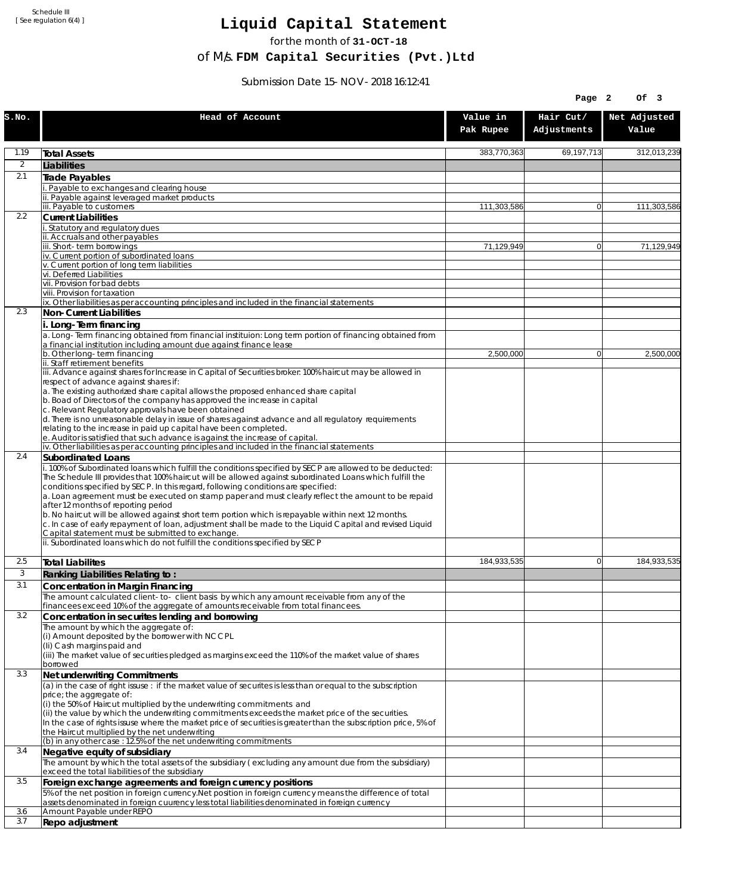Schedule III [ See regulation 6(4) ]

## **Liquid Capital Statement**

for the month of **31-OCT-18**

of M/s. **FDM Capital Securities (Pvt.)Ltd**

Submission Date 15-NOV-2018 16:12:41

|                |                                                                                                                                                                                                                                                                                                                                                                                                                                                                                                                                                                                                                                                                                                                             |                       | Page 2                   | Of 3                  |
|----------------|-----------------------------------------------------------------------------------------------------------------------------------------------------------------------------------------------------------------------------------------------------------------------------------------------------------------------------------------------------------------------------------------------------------------------------------------------------------------------------------------------------------------------------------------------------------------------------------------------------------------------------------------------------------------------------------------------------------------------------|-----------------------|--------------------------|-----------------------|
| S.NO.          | Head of Account                                                                                                                                                                                                                                                                                                                                                                                                                                                                                                                                                                                                                                                                                                             | Value in<br>Pak Rupee | Hair Cut/<br>Adjustments | Net Adjusted<br>Value |
| 1.19           | <b>Total Assets</b>                                                                                                                                                                                                                                                                                                                                                                                                                                                                                                                                                                                                                                                                                                         | 383,770,363           | 69,197,713               | 312,013,239           |
| $\overline{2}$ | Liabilities                                                                                                                                                                                                                                                                                                                                                                                                                                                                                                                                                                                                                                                                                                                 |                       |                          |                       |
| 2.1            | Trade Payables                                                                                                                                                                                                                                                                                                                                                                                                                                                                                                                                                                                                                                                                                                              |                       |                          |                       |
|                | Payable to exchanges and clearing house<br>. Payable against leveraged market products                                                                                                                                                                                                                                                                                                                                                                                                                                                                                                                                                                                                                                      |                       |                          |                       |
|                | iii. Payable to customers                                                                                                                                                                                                                                                                                                                                                                                                                                                                                                                                                                                                                                                                                                   | 111,303,586           | $\overline{0}$           | 111,303,586           |
| 2.2            | <b>Current Liabilities</b>                                                                                                                                                                                                                                                                                                                                                                                                                                                                                                                                                                                                                                                                                                  |                       |                          |                       |
|                | Statutory and regulatory dues<br>ii. Accruals and other payables                                                                                                                                                                                                                                                                                                                                                                                                                                                                                                                                                                                                                                                            |                       |                          |                       |
|                | ii. Short-term borrowings                                                                                                                                                                                                                                                                                                                                                                                                                                                                                                                                                                                                                                                                                                   | 71,129,949            | $\overline{0}$           | 71,129,949            |
|                | iv. Current portion of subordinated loans<br>v. Current portion of long term liabilities                                                                                                                                                                                                                                                                                                                                                                                                                                                                                                                                                                                                                                    |                       |                          |                       |
|                | vi. Deferred Liabilities                                                                                                                                                                                                                                                                                                                                                                                                                                                                                                                                                                                                                                                                                                    |                       |                          |                       |
|                | vii. Provision for bad debts                                                                                                                                                                                                                                                                                                                                                                                                                                                                                                                                                                                                                                                                                                |                       |                          |                       |
|                | viii. Provision for taxation<br>ix. Other liabilities as per accounting principles and included in the financial statements                                                                                                                                                                                                                                                                                                                                                                                                                                                                                                                                                                                                 |                       |                          |                       |
| 2.3            | Non-Current Liabilities                                                                                                                                                                                                                                                                                                                                                                                                                                                                                                                                                                                                                                                                                                     |                       |                          |                       |
|                | i. Long-Term financing                                                                                                                                                                                                                                                                                                                                                                                                                                                                                                                                                                                                                                                                                                      |                       |                          |                       |
|                | a. Long-Term financing obtained from financial instituion: Long term portion of financing obtained from<br>a financial institution including amount due against finance lease                                                                                                                                                                                                                                                                                                                                                                                                                                                                                                                                               |                       |                          |                       |
|                | b. Other long-term financing                                                                                                                                                                                                                                                                                                                                                                                                                                                                                                                                                                                                                                                                                                | 2,500,000             | $\overline{0}$           | 2,500,000             |
|                | ii. Staff retirement benefits<br>iii. Advance against shares for Increase in Capital of Securities broker: 100% haircut may be allowed in                                                                                                                                                                                                                                                                                                                                                                                                                                                                                                                                                                                   |                       |                          |                       |
|                | respect of advance against shares if:                                                                                                                                                                                                                                                                                                                                                                                                                                                                                                                                                                                                                                                                                       |                       |                          |                       |
|                | a. The existing authorized share capital allows the proposed enhanced share capital                                                                                                                                                                                                                                                                                                                                                                                                                                                                                                                                                                                                                                         |                       |                          |                       |
|                | b. Boad of Directors of the company has approved the increase in capital<br>c. Relevant Regulatory approvals have been obtained                                                                                                                                                                                                                                                                                                                                                                                                                                                                                                                                                                                             |                       |                          |                       |
|                | d. There is no unreasonable delay in issue of shares against advance and all regulatory requirements                                                                                                                                                                                                                                                                                                                                                                                                                                                                                                                                                                                                                        |                       |                          |                       |
|                | relating to the increase in paid up capital have been completed.<br>e. Auditor is satisfied that such advance is against the increase of capital.                                                                                                                                                                                                                                                                                                                                                                                                                                                                                                                                                                           |                       |                          |                       |
|                | iv. Other liabilities as per accounting principles and included in the financial statements                                                                                                                                                                                                                                                                                                                                                                                                                                                                                                                                                                                                                                 |                       |                          |                       |
| 2.4            | Subordinated Loans                                                                                                                                                                                                                                                                                                                                                                                                                                                                                                                                                                                                                                                                                                          |                       |                          |                       |
|                | . 100% of Subordinated loans which fulfill the conditions specified by SECP are allowed to be deducted:<br>The Schedule III provides that 100% haircut will be allowed against subordinated Loans which fulfill the<br>conditions specified by SECP. In this regard, following conditions are specified:<br>a. Loan agreement must be executed on stamp paper and must clearly reflect the amount to be repaid<br>after 12 months of reporting period<br>b. No haircut will be allowed against short term portion which is repayable within next 12 months.<br>c. In case of early repayment of loan, adjustment shall be made to the Liquid Capital and revised Liquid<br>Capital statement must be submitted to exchange. |                       |                          |                       |
|                | ii. Subordinated loans which do not fulfill the conditions specified by SECP                                                                                                                                                                                                                                                                                                                                                                                                                                                                                                                                                                                                                                                |                       |                          |                       |
| 2.5            | <b>Total Liabilites</b>                                                                                                                                                                                                                                                                                                                                                                                                                                                                                                                                                                                                                                                                                                     | 184,933,535           | $\mathbf{0}$             | 184,933,535           |
| 3              | Ranking Liabilities Relating to:                                                                                                                                                                                                                                                                                                                                                                                                                                                                                                                                                                                                                                                                                            |                       |                          |                       |
| 3.1            | Concentration in Margin Financing                                                                                                                                                                                                                                                                                                                                                                                                                                                                                                                                                                                                                                                                                           |                       |                          |                       |
|                | The amount calculated client-to- client basis by which any amount receivable from any of the<br>financees exceed 10% of the aggregate of amounts receivable from total financees.                                                                                                                                                                                                                                                                                                                                                                                                                                                                                                                                           |                       |                          |                       |
| 3.2            | Concentration in securites lending and borrowing                                                                                                                                                                                                                                                                                                                                                                                                                                                                                                                                                                                                                                                                            |                       |                          |                       |
|                | The amount by which the aggregate of:                                                                                                                                                                                                                                                                                                                                                                                                                                                                                                                                                                                                                                                                                       |                       |                          |                       |
|                | (i) Amount deposited by the borrower with NCCPL<br>(Ii) Cash margins paid and                                                                                                                                                                                                                                                                                                                                                                                                                                                                                                                                                                                                                                               |                       |                          |                       |
|                | (iii) The market value of securities pledged as margins exceed the 110% of the market value of shares                                                                                                                                                                                                                                                                                                                                                                                                                                                                                                                                                                                                                       |                       |                          |                       |
| 3.3            | borrowed                                                                                                                                                                                                                                                                                                                                                                                                                                                                                                                                                                                                                                                                                                                    |                       |                          |                       |
|                | Net underwriting Commitments<br>(a) in the case of right issuse: if the market value of securites is less than or equal to the subscription                                                                                                                                                                                                                                                                                                                                                                                                                                                                                                                                                                                 |                       |                          |                       |
|                | price; the aggregate of:                                                                                                                                                                                                                                                                                                                                                                                                                                                                                                                                                                                                                                                                                                    |                       |                          |                       |
|                | (i) the 50% of Haircut multiplied by the underwriting commitments and<br>(ii) the value by which the underwriting commitments exceeds the market price of the securities.                                                                                                                                                                                                                                                                                                                                                                                                                                                                                                                                                   |                       |                          |                       |
|                | In the case of rights issuse where the market price of securities is greater than the subscription price, 5% of                                                                                                                                                                                                                                                                                                                                                                                                                                                                                                                                                                                                             |                       |                          |                       |
|                | the Haircut multiplied by the net underwriting<br>(b) in any other case: 12.5% of the net underwriting commitments                                                                                                                                                                                                                                                                                                                                                                                                                                                                                                                                                                                                          |                       |                          |                       |
| 3.4            | Negative equity of subsidiary                                                                                                                                                                                                                                                                                                                                                                                                                                                                                                                                                                                                                                                                                               |                       |                          |                       |
|                | The amount by which the total assets of the subsidiary (excluding any amount due from the subsidiary)<br>exceed the total liabilities of the subsidiary                                                                                                                                                                                                                                                                                                                                                                                                                                                                                                                                                                     |                       |                          |                       |
| 3.5            | Foreign exchange agreements and foreign currency positions                                                                                                                                                                                                                                                                                                                                                                                                                                                                                                                                                                                                                                                                  |                       |                          |                       |
|                | 5% of the net position in foreign currency. Net position in foreign currency means the difference of total<br>assets denominated in foreign cuurency less total liabilities denominated in foreign currency                                                                                                                                                                                                                                                                                                                                                                                                                                                                                                                 |                       |                          |                       |
| 3.6            | Amount Payable under REPO                                                                                                                                                                                                                                                                                                                                                                                                                                                                                                                                                                                                                                                                                                   |                       |                          |                       |
| 3.7            | Repo adjustment                                                                                                                                                                                                                                                                                                                                                                                                                                                                                                                                                                                                                                                                                                             |                       |                          |                       |